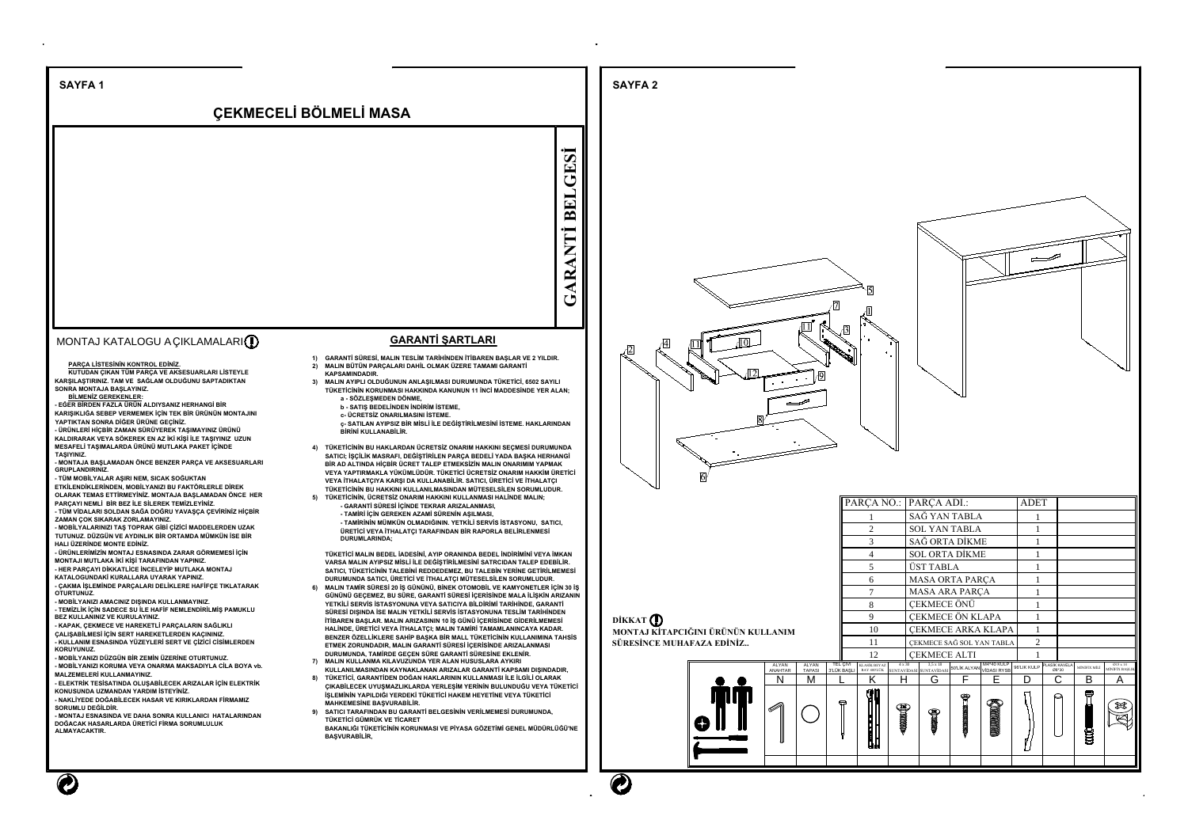